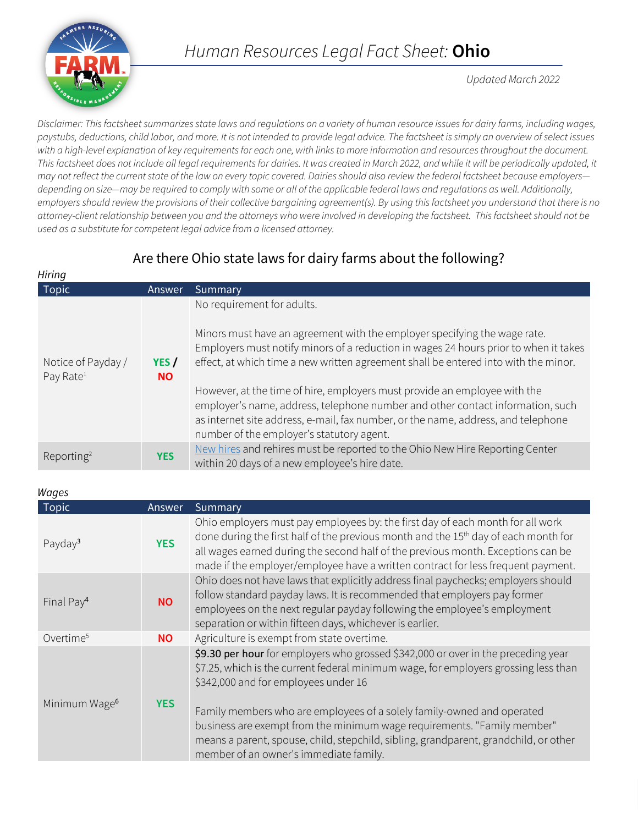

*Updated March 2022*

*Disclaimer: This factsheet summarizes state laws and regulations on a variety of human resource issues for dairy farms, including wages, paystubs, deductions, child labor, and more. It is not intended to provide legal advice. The factsheet is simply an overview of select issues with a high-level explanation of key requirements for each one, with links to more information and resources throughout the document.*  This factsheet does not include all legal requirements for dairies. It was created in March 2022, and while it will be periodically updated, it *may not reflect the current state of the law on every topic covered. Dairies should also review the federal factsheet because employers depending on size—may be required to comply with some or all of the applicable federal laws and regulations as well. Additionally, employers should review the provisions of their collective bargaining agreement(s). By using this factsheet you understand that there is no attorney-client relationship between you and the attorneys who were involved in developing the factsheet. This factsheet should not be used as a substitute for competent legal advice from a licensed attorney.*

# Are there Ohio state laws for dairy farms about the following?

| Hiring                                      |                    |                                                                                                                                                                                                                                                                                               |
|---------------------------------------------|--------------------|-----------------------------------------------------------------------------------------------------------------------------------------------------------------------------------------------------------------------------------------------------------------------------------------------|
| Topic                                       | Answer             | Summary                                                                                                                                                                                                                                                                                       |
| Notice of Payday /<br>Pay Rate <sup>1</sup> | YES /<br><b>NO</b> | No requirement for adults.<br>Minors must have an agreement with the employer specifying the wage rate.<br>Employers must notify minors of a reduction in wages 24 hours prior to when it takes<br>effect, at which time a new written agreement shall be entered into with the minor.        |
|                                             |                    | However, at the time of hire, employers must provide an employee with the<br>employer's name, address, telephone number and other contact information, such<br>as internet site address, e-mail, fax number, or the name, address, and telephone<br>number of the employer's statutory agent. |
| Reporting <sup>2</sup>                      | <b>YES</b>         | New hires and rehires must be reported to the Ohio New Hire Reporting Center<br>within 20 days of a new employee's hire date.                                                                                                                                                                 |

### *Wages*

| <b>Topic</b>              | Answer     | Summary                                                                                                                                                                                                                                                                                                                                                   |
|---------------------------|------------|-----------------------------------------------------------------------------------------------------------------------------------------------------------------------------------------------------------------------------------------------------------------------------------------------------------------------------------------------------------|
| Payday <sup>3</sup>       | <b>YES</b> | Ohio employers must pay employees by: the first day of each month for all work<br>done during the first half of the previous month and the 15 <sup>th</sup> day of each month for<br>all wages earned during the second half of the previous month. Exceptions can be<br>made if the employer/employee have a written contract for less frequent payment. |
| Final Pay <sup>4</sup>    | <b>NO</b>  | Ohio does not have laws that explicitly address final paychecks; employers should<br>follow standard payday laws. It is recommended that employers pay former<br>employees on the next regular payday following the employee's employment<br>separation or within fifteen days, whichever is earlier.                                                     |
| Overtime <sup>5</sup>     | <b>NO</b>  | Agriculture is exempt from state overtime.                                                                                                                                                                                                                                                                                                                |
| Minimum Wage <sup>6</sup> | <b>YES</b> | \$9.30 per hour for employers who grossed \$342,000 or over in the preceding year<br>\$7.25, which is the current federal minimum wage, for employers grossing less than<br>\$342,000 and for employees under 16                                                                                                                                          |
|                           |            | Family members who are employees of a solely family-owned and operated<br>business are exempt from the minimum wage requirements. "Family member"<br>means a parent, spouse, child, stepchild, sibling, grandparent, grandchild, or other<br>member of an owner's immediate family.                                                                       |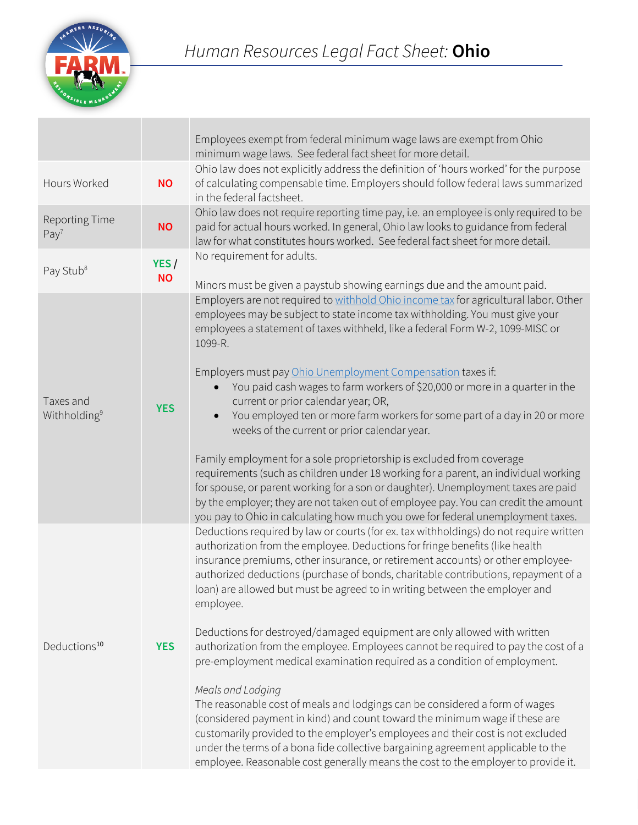

|                                       |                   | Employees exempt from federal minimum wage laws are exempt from Ohio<br>minimum wage laws. See federal fact sheet for more detail.                                                                                                                                                                                                                                                                                                                                                                                                                                                                                                                                                                                                                                                                                                                                                                                                                                                                                                                                                                                                        |
|---------------------------------------|-------------------|-------------------------------------------------------------------------------------------------------------------------------------------------------------------------------------------------------------------------------------------------------------------------------------------------------------------------------------------------------------------------------------------------------------------------------------------------------------------------------------------------------------------------------------------------------------------------------------------------------------------------------------------------------------------------------------------------------------------------------------------------------------------------------------------------------------------------------------------------------------------------------------------------------------------------------------------------------------------------------------------------------------------------------------------------------------------------------------------------------------------------------------------|
| Hours Worked                          | <b>NO</b>         | Ohio law does not explicitly address the definition of 'hours worked' for the purpose<br>of calculating compensable time. Employers should follow federal laws summarized<br>in the federal factsheet.                                                                                                                                                                                                                                                                                                                                                                                                                                                                                                                                                                                                                                                                                                                                                                                                                                                                                                                                    |
| Reporting Time<br>Pay <sup>7</sup>    | <b>NO</b>         | Ohio law does not require reporting time pay, i.e. an employee is only required to be<br>paid for actual hours worked. In general, Ohio law looks to guidance from federal<br>law for what constitutes hours worked. See federal fact sheet for more detail.                                                                                                                                                                                                                                                                                                                                                                                                                                                                                                                                                                                                                                                                                                                                                                                                                                                                              |
| Pay Stub <sup>8</sup>                 | YES/<br><b>NO</b> | No requirement for adults.<br>Minors must be given a paystub showing earnings due and the amount paid.                                                                                                                                                                                                                                                                                                                                                                                                                                                                                                                                                                                                                                                                                                                                                                                                                                                                                                                                                                                                                                    |
| Taxes and<br>Withholding <sup>9</sup> | <b>YES</b>        | Employers are not required to withhold Ohio income tax for agricultural labor. Other<br>employees may be subject to state income tax withholding. You must give your<br>employees a statement of taxes withheld, like a federal Form W-2, 1099-MISC or<br>1099-R.<br>Employers must pay Ohio Unemployment Compensation taxes if:<br>You paid cash wages to farm workers of \$20,000 or more in a quarter in the<br>$\bullet$<br>current or prior calendar year; OR,<br>You employed ten or more farm workers for some part of a day in 20 or more<br>$\bullet$<br>weeks of the current or prior calendar year.<br>Family employment for a sole proprietorship is excluded from coverage<br>requirements (such as children under 18 working for a parent, an individual working<br>for spouse, or parent working for a son or daughter). Unemployment taxes are paid<br>by the employer; they are not taken out of employee pay. You can credit the amount<br>you pay to Ohio in calculating how much you owe for federal unemployment taxes.                                                                                              |
| Deductions <sup>10</sup>              | <b>YES</b>        | Deductions required by law or courts (for ex. tax withholdings) do not require written<br>authorization from the employee. Deductions for fringe benefits (like health<br>insurance premiums, other insurance, or retirement accounts) or other employee-<br>authorized deductions (purchase of bonds, charitable contributions, repayment of a<br>loan) are allowed but must be agreed to in writing between the employer and<br>employee.<br>Deductions for destroyed/damaged equipment are only allowed with written<br>authorization from the employee. Employees cannot be required to pay the cost of a<br>pre-employment medical examination required as a condition of employment.<br>Meals and Lodging<br>The reasonable cost of meals and lodgings can be considered a form of wages<br>(considered payment in kind) and count toward the minimum wage if these are<br>customarily provided to the employer's employees and their cost is not excluded<br>under the terms of a bona fide collective bargaining agreement applicable to the<br>employee. Reasonable cost generally means the cost to the employer to provide it. |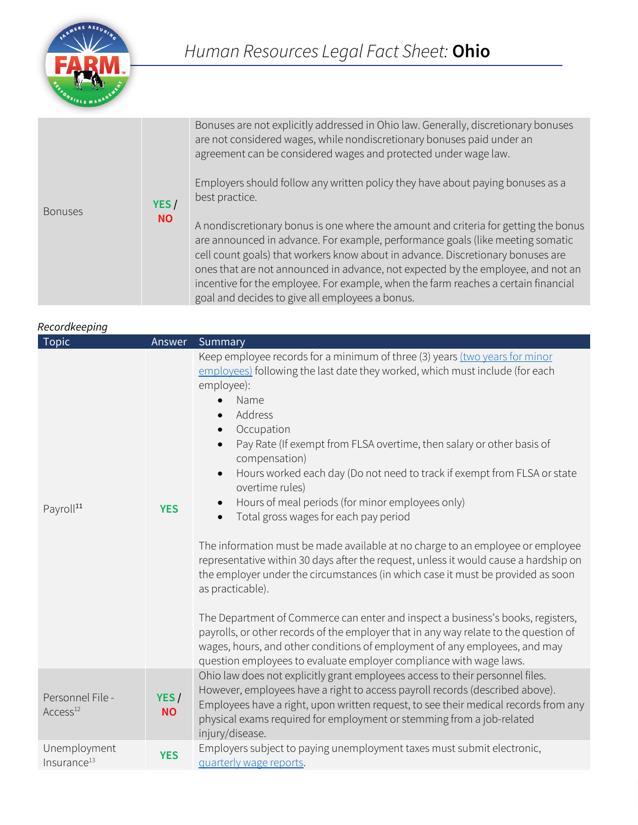

| <b>Bonuses</b> | YES/<br><b>NO</b> | Bonuses are not explicitly addressed in Ohio law. Generally, discretionary bonuses<br>are not considered wages, while nondiscretionary bonuses paid under an<br>agreement can be considered wages and protected under wage law.<br>Employers should follow any written policy they have about paying bonuses as a<br>best practice.                                                                                                                                                   |
|----------------|-------------------|---------------------------------------------------------------------------------------------------------------------------------------------------------------------------------------------------------------------------------------------------------------------------------------------------------------------------------------------------------------------------------------------------------------------------------------------------------------------------------------|
|                |                   | A nondiscretionary bonus is one where the amount and criteria for getting the bonus<br>are announced in advance. For example, performance goals (like meeting somatic<br>cell count goals) that workers know about in advance. Discretionary bonuses are<br>ones that are not announced in advance, not expected by the employee, and not an<br>incentive for the employee. For example, when the farm reaches a certain financial<br>goal and decides to give all employees a bonus. |

### *Recordkeeping*

| necuruneepiriy                           |                   |                                                                                                                                                                                                                                                                                                                                                                                                                                                                                                                                                                                                                                                                                                                                                                                                                                                                                                                                                                                                                                                                                                                                            |
|------------------------------------------|-------------------|--------------------------------------------------------------------------------------------------------------------------------------------------------------------------------------------------------------------------------------------------------------------------------------------------------------------------------------------------------------------------------------------------------------------------------------------------------------------------------------------------------------------------------------------------------------------------------------------------------------------------------------------------------------------------------------------------------------------------------------------------------------------------------------------------------------------------------------------------------------------------------------------------------------------------------------------------------------------------------------------------------------------------------------------------------------------------------------------------------------------------------------------|
| Topic                                    | Answer            | Summary                                                                                                                                                                                                                                                                                                                                                                                                                                                                                                                                                                                                                                                                                                                                                                                                                                                                                                                                                                                                                                                                                                                                    |
| Payroll <sup>11</sup>                    | <b>YES</b>        | Keep employee records for a minimum of three (3) years (two years for minor<br>employees) following the last date they worked, which must include (for each<br>employee):<br>Name<br>Address<br>Occupation<br>Pay Rate (If exempt from FLSA overtime, then salary or other basis of<br>$\bullet$<br>compensation)<br>Hours worked each day (Do not need to track if exempt from FLSA or state<br>overtime rules)<br>Hours of meal periods (for minor employees only)<br>$\bullet$<br>Total gross wages for each pay period<br>The information must be made available at no charge to an employee or employee<br>representative within 30 days after the request, unless it would cause a hardship on<br>the employer under the circumstances (in which case it must be provided as soon<br>as practicable).<br>The Department of Commerce can enter and inspect a business's books, registers,<br>payrolls, or other records of the employer that in any way relate to the question of<br>wages, hours, and other conditions of employment of any employees, and may<br>question employees to evaluate employer compliance with wage laws. |
| Personnel File -<br>Access <sup>12</sup> | YES/<br><b>NO</b> | Ohio law does not explicitly grant employees access to their personnel files.<br>However, employees have a right to access payroll records (described above).<br>Employees have a right, upon written request, to see their medical records from any<br>physical exams required for employment or stemming from a job-related<br>injury/disease.                                                                                                                                                                                                                                                                                                                                                                                                                                                                                                                                                                                                                                                                                                                                                                                           |
| Unemployment<br>Insurance <sup>13</sup>  | <b>YES</b>        | Employers subject to paying unemployment taxes must submit electronic,<br>quarterly wage reports.                                                                                                                                                                                                                                                                                                                                                                                                                                                                                                                                                                                                                                                                                                                                                                                                                                                                                                                                                                                                                                          |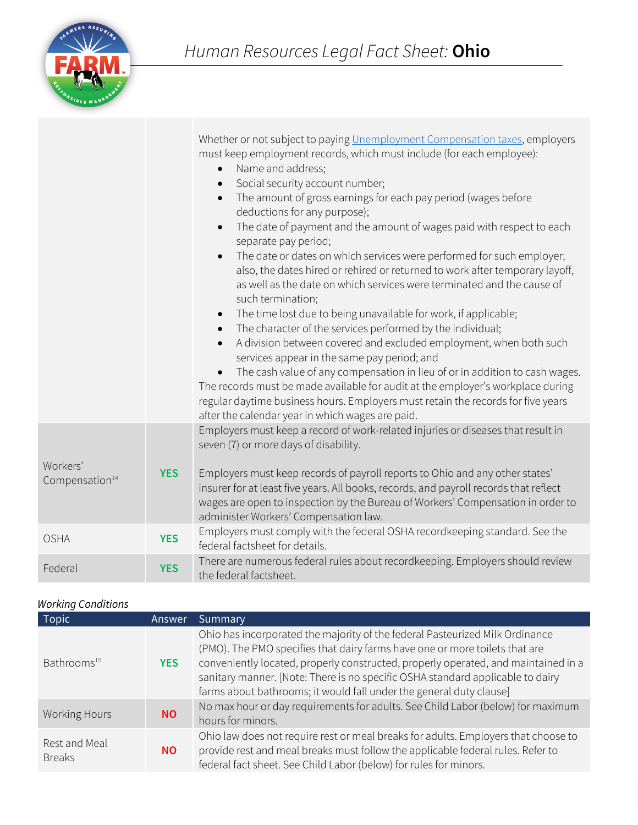

|                            |            | Whether or not subject to paying Unemployment Compensation taxes, employers<br>must keep employment records, which must include (for each employee):<br>Name and address;<br>Social security account number;<br>The amount of gross earnings for each pay period (wages before<br>$\bullet$<br>deductions for any purpose);<br>The date of payment and the amount of wages paid with respect to each<br>$\bullet$<br>separate pay period;<br>The date or dates on which services were performed for such employer;<br>also, the dates hired or rehired or returned to work after temporary layoff,<br>as well as the date on which services were terminated and the cause of<br>such termination;<br>The time lost due to being unavailable for work, if applicable;<br>$\bullet$<br>The character of the services performed by the individual;<br>A division between covered and excluded employment, when both such<br>services appear in the same pay period; and<br>The cash value of any compensation in lieu of or in addition to cash wages.<br>The records must be made available for audit at the employer's workplace during<br>regular daytime business hours. Employers must retain the records for five years<br>after the calendar year in which wages are paid. |
|----------------------------|------------|--------------------------------------------------------------------------------------------------------------------------------------------------------------------------------------------------------------------------------------------------------------------------------------------------------------------------------------------------------------------------------------------------------------------------------------------------------------------------------------------------------------------------------------------------------------------------------------------------------------------------------------------------------------------------------------------------------------------------------------------------------------------------------------------------------------------------------------------------------------------------------------------------------------------------------------------------------------------------------------------------------------------------------------------------------------------------------------------------------------------------------------------------------------------------------------------------------------------------------------------------------------------------------|
| Workers'                   |            | Employers must keep a record of work-related injuries or diseases that result in<br>seven (7) or more days of disability.                                                                                                                                                                                                                                                                                                                                                                                                                                                                                                                                                                                                                                                                                                                                                                                                                                                                                                                                                                                                                                                                                                                                                      |
| Compensation <sup>14</sup> | <b>YES</b> | Employers must keep records of payroll reports to Ohio and any other states'<br>insurer for at least five years. All books, records, and payroll records that reflect<br>wages are open to inspection by the Bureau of Workers' Compensation in order to<br>administer Workers' Compensation law.                                                                                                                                                                                                                                                                                                                                                                                                                                                                                                                                                                                                                                                                                                                                                                                                                                                                                                                                                                              |
| <b>OSHA</b>                | <b>YES</b> | Employers must comply with the federal OSHA recordkeeping standard. See the<br>federal factsheet for details.                                                                                                                                                                                                                                                                                                                                                                                                                                                                                                                                                                                                                                                                                                                                                                                                                                                                                                                                                                                                                                                                                                                                                                  |
| Federal                    | <b>YES</b> | There are numerous federal rules about recordkeeping. Employers should review<br>the federal factsheet.                                                                                                                                                                                                                                                                                                                                                                                                                                                                                                                                                                                                                                                                                                                                                                                                                                                                                                                                                                                                                                                                                                                                                                        |

## *Working Conditions*

| <b>Topic</b>                   | Answer     | Summary                                                                                                                                                                                                                                                                                                                                                                                                    |
|--------------------------------|------------|------------------------------------------------------------------------------------------------------------------------------------------------------------------------------------------------------------------------------------------------------------------------------------------------------------------------------------------------------------------------------------------------------------|
| Bathrooms <sup>15</sup>        | <b>YES</b> | Ohio has incorporated the majority of the federal Pasteurized Milk Ordinance<br>(PMO). The PMO specifies that dairy farms have one or more toilets that are<br>conveniently located, properly constructed, properly operated, and maintained in a<br>sanitary manner. [Note: There is no specific OSHA standard applicable to dairy<br>farms about bathrooms; it would fall under the general duty clause] |
| Working Hours                  | <b>NO</b>  | No max hour or day requirements for adults. See Child Labor (below) for maximum<br>hours for minors.                                                                                                                                                                                                                                                                                                       |
| Rest and Meal<br><b>Breaks</b> | <b>NO</b>  | Ohio law does not require rest or meal breaks for adults. Employers that choose to<br>provide rest and meal breaks must follow the applicable federal rules. Refer to<br>federal fact sheet. See Child Labor (below) for rules for minors.                                                                                                                                                                 |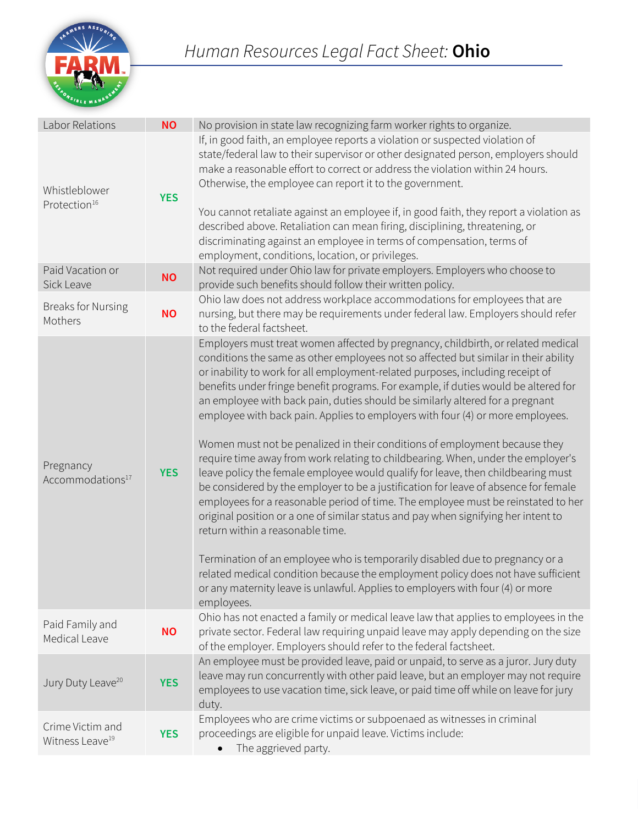

| Labor Relations                                 | <b>NO</b>  | No provision in state law recognizing farm worker rights to organize.                                                                                                                                                                                                                                                                                                                                                                                                                                                                                                                                                                                                                                                                                                                                                                                                                                                                                                                                                                                                                                                                                                                                                                                                                                                                               |
|-------------------------------------------------|------------|-----------------------------------------------------------------------------------------------------------------------------------------------------------------------------------------------------------------------------------------------------------------------------------------------------------------------------------------------------------------------------------------------------------------------------------------------------------------------------------------------------------------------------------------------------------------------------------------------------------------------------------------------------------------------------------------------------------------------------------------------------------------------------------------------------------------------------------------------------------------------------------------------------------------------------------------------------------------------------------------------------------------------------------------------------------------------------------------------------------------------------------------------------------------------------------------------------------------------------------------------------------------------------------------------------------------------------------------------------|
| Whistleblower<br>Protection <sup>16</sup>       | <b>YES</b> | If, in good faith, an employee reports a violation or suspected violation of<br>state/federal law to their supervisor or other designated person, employers should<br>make a reasonable effort to correct or address the violation within 24 hours.<br>Otherwise, the employee can report it to the government.<br>You cannot retaliate against an employee if, in good faith, they report a violation as<br>described above. Retaliation can mean firing, disciplining, threatening, or<br>discriminating against an employee in terms of compensation, terms of<br>employment, conditions, location, or privileges.                                                                                                                                                                                                                                                                                                                                                                                                                                                                                                                                                                                                                                                                                                                               |
| Paid Vacation or<br>Sick Leave                  | <b>NO</b>  | Not required under Ohio law for private employers. Employers who choose to<br>provide such benefits should follow their written policy.                                                                                                                                                                                                                                                                                                                                                                                                                                                                                                                                                                                                                                                                                                                                                                                                                                                                                                                                                                                                                                                                                                                                                                                                             |
| <b>Breaks for Nursing</b><br>Mothers            | <b>NO</b>  | Ohio law does not address workplace accommodations for employees that are<br>nursing, but there may be requirements under federal law. Employers should refer<br>to the federal factsheet.                                                                                                                                                                                                                                                                                                                                                                                                                                                                                                                                                                                                                                                                                                                                                                                                                                                                                                                                                                                                                                                                                                                                                          |
| Pregnancy<br>Accommodations <sup>17</sup>       | <b>YES</b> | Employers must treat women affected by pregnancy, childbirth, or related medical<br>conditions the same as other employees not so affected but similar in their ability<br>or inability to work for all employment-related purposes, including receipt of<br>benefits under fringe benefit programs. For example, if duties would be altered for<br>an employee with back pain, duties should be similarly altered for a pregnant<br>employee with back pain. Applies to employers with four (4) or more employees.<br>Women must not be penalized in their conditions of employment because they<br>require time away from work relating to childbearing. When, under the employer's<br>leave policy the female employee would qualify for leave, then childbearing must<br>be considered by the employer to be a justification for leave of absence for female<br>employees for a reasonable period of time. The employee must be reinstated to her<br>original position or a one of similar status and pay when signifying her intent to<br>return within a reasonable time.<br>Termination of an employee who is temporarily disabled due to pregnancy or a<br>related medical condition because the employment policy does not have sufficient<br>or any maternity leave is unlawful. Applies to employers with four (4) or more<br>employees. |
| Paid Family and<br>Medical Leave                | <b>NO</b>  | Ohio has not enacted a family or medical leave law that applies to employees in the<br>private sector. Federal law requiring unpaid leave may apply depending on the size<br>of the employer. Employers should refer to the federal factsheet.                                                                                                                                                                                                                                                                                                                                                                                                                                                                                                                                                                                                                                                                                                                                                                                                                                                                                                                                                                                                                                                                                                      |
| Jury Duty Leave <sup>20</sup>                   | <b>YES</b> | An employee must be provided leave, paid or unpaid, to serve as a juror. Jury duty<br>leave may run concurrently with other paid leave, but an employer may not require<br>employees to use vacation time, sick leave, or paid time off while on leave for jury<br>duty.                                                                                                                                                                                                                                                                                                                                                                                                                                                                                                                                                                                                                                                                                                                                                                                                                                                                                                                                                                                                                                                                            |
| Crime Victim and<br>Witness Leave <sup>19</sup> | <b>YES</b> | Employees who are crime victims or subpoenaed as witnesses in criminal<br>proceedings are eligible for unpaid leave. Victims include:<br>The aggrieved party.                                                                                                                                                                                                                                                                                                                                                                                                                                                                                                                                                                                                                                                                                                                                                                                                                                                                                                                                                                                                                                                                                                                                                                                       |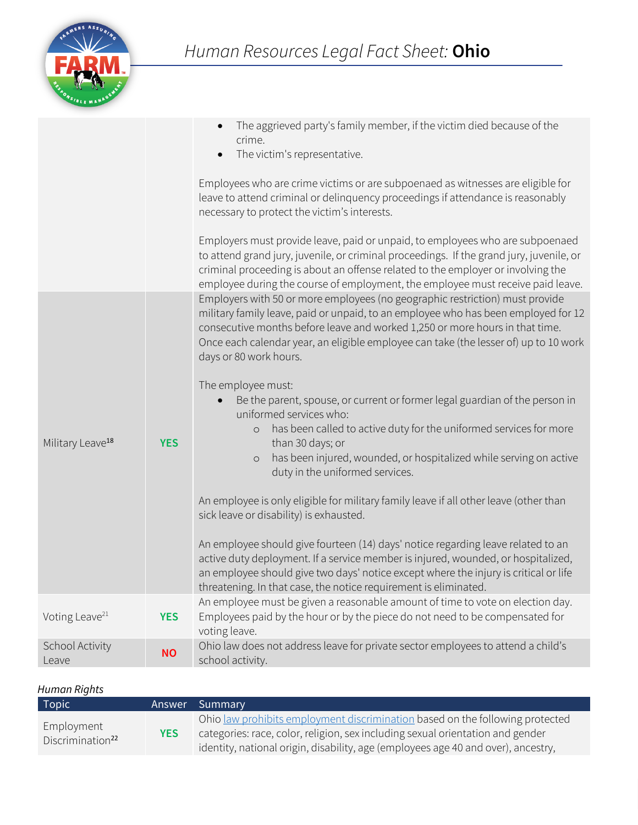

|                              |            | The aggrieved party's family member, if the victim died because of the<br>crime.<br>The victim's representative.<br>$\bullet$                                                                                                                                                                                                                                        |
|------------------------------|------------|----------------------------------------------------------------------------------------------------------------------------------------------------------------------------------------------------------------------------------------------------------------------------------------------------------------------------------------------------------------------|
|                              |            | Employees who are crime victims or are subpoenaed as witnesses are eligible for<br>leave to attend criminal or delinquency proceedings if attendance is reasonably<br>necessary to protect the victim's interests.                                                                                                                                                   |
|                              |            | Employers must provide leave, paid or unpaid, to employees who are subpoenaed<br>to attend grand jury, juvenile, or criminal proceedings. If the grand jury, juvenile, or<br>criminal proceeding is about an offense related to the employer or involving the<br>employee during the course of employment, the employee must receive paid leave.                     |
|                              |            | Employers with 50 or more employees (no geographic restriction) must provide<br>military family leave, paid or unpaid, to an employee who has been employed for 12<br>consecutive months before leave and worked 1,250 or more hours in that time.<br>Once each calendar year, an eligible employee can take (the lesser of) up to 10 work<br>days or 80 work hours. |
| Military Leave <sup>18</sup> | <b>YES</b> | The employee must:<br>Be the parent, spouse, or current or former legal guardian of the person in<br>uniformed services who:<br>has been called to active duty for the uniformed services for more<br>$\circ$<br>than 30 days; or<br>has been injured, wounded, or hospitalized while serving on active<br>$\circ$<br>duty in the uniformed services.                |
|                              |            | An employee is only eligible for military family leave if all other leave (other than<br>sick leave or disability) is exhausted.                                                                                                                                                                                                                                     |
|                              |            | An employee should give fourteen (14) days' notice regarding leave related to an<br>active duty deployment. If a service member is injured, wounded, or hospitalized,<br>an employee should give two days' notice except where the injury is critical or life<br>threatening. In that case, the notice requirement is eliminated.                                    |
| Voting Leave <sup>21</sup>   | <b>YES</b> | An employee must be given a reasonable amount of time to vote on election day.<br>Employees paid by the hour or by the piece do not need to be compensated for<br>voting leave.                                                                                                                                                                                      |
| School Activity<br>Leave     | <b>NO</b>  | Ohio law does not address leave for private sector employees to attend a child's<br>school activity.                                                                                                                                                                                                                                                                 |

# *Human Rights*

| Topic                                      |            | Answer Summary                                                                                                                                                                                                                                       |
|--------------------------------------------|------------|------------------------------------------------------------------------------------------------------------------------------------------------------------------------------------------------------------------------------------------------------|
| Employment<br>Discrimination <sup>22</sup> | <b>YES</b> | Ohio law prohibits employment discrimination based on the following protected<br>categories: race, color, religion, sex including sexual orientation and gender<br>identity, national origin, disability, age (employees age 40 and over), ancestry, |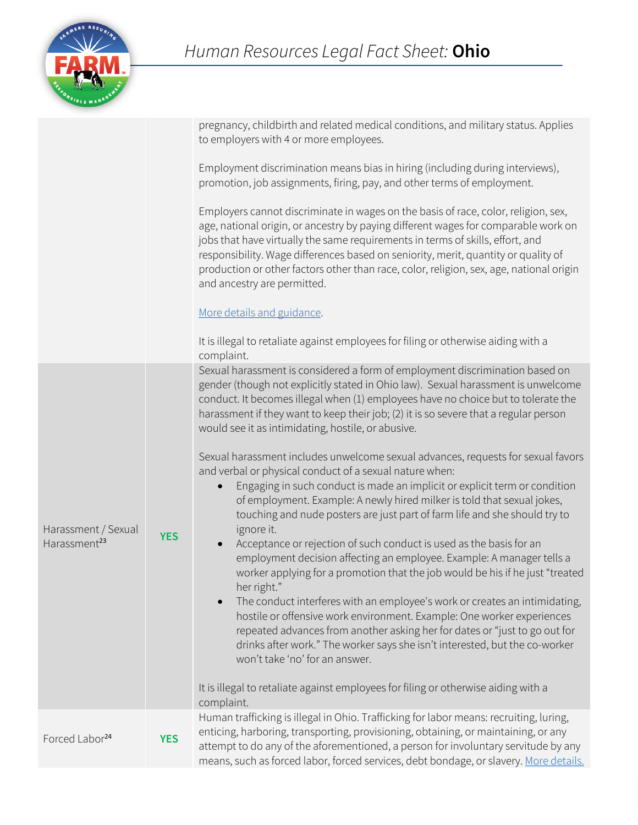

|                                                 |            | pregnancy, childbirth and related medical conditions, and military status. Applies<br>to employers with 4 or more employees.                                                                                                                                                                                                                                                                                                                                                         |
|-------------------------------------------------|------------|--------------------------------------------------------------------------------------------------------------------------------------------------------------------------------------------------------------------------------------------------------------------------------------------------------------------------------------------------------------------------------------------------------------------------------------------------------------------------------------|
|                                                 |            | Employment discrimination means bias in hiring (including during interviews),<br>promotion, job assignments, firing, pay, and other terms of employment.                                                                                                                                                                                                                                                                                                                             |
|                                                 |            | Employers cannot discriminate in wages on the basis of race, color, religion, sex,<br>age, national origin, or ancestry by paying different wages for comparable work on<br>jobs that have virtually the same requirements in terms of skills, effort, and<br>responsibility. Wage differences based on seniority, merit, quantity or quality of<br>production or other factors other than race, color, religion, sex, age, national origin<br>and ancestry are permitted.           |
|                                                 |            | More details and guidance.                                                                                                                                                                                                                                                                                                                                                                                                                                                           |
|                                                 |            | It is illegal to retaliate against employees for filing or otherwise aiding with a<br>complaint.                                                                                                                                                                                                                                                                                                                                                                                     |
|                                                 |            | Sexual harassment is considered a form of employment discrimination based on<br>gender (though not explicitly stated in Ohio law). Sexual harassment is unwelcome<br>conduct. It becomes illegal when (1) employees have no choice but to tolerate the<br>harassment if they want to keep their job; (2) it is so severe that a regular person<br>would see it as intimidating, hostile, or abusive.                                                                                 |
| Harassment / Sexual<br>Harassment <sup>23</sup> | <b>YES</b> | Sexual harassment includes unwelcome sexual advances, requests for sexual favors<br>and verbal or physical conduct of a sexual nature when:<br>Engaging in such conduct is made an implicit or explicit term or condition<br>$\bullet$<br>of employment. Example: A newly hired milker is told that sexual jokes,<br>touching and nude posters are just part of farm life and she should try to<br>ignore it.<br>Acceptance or rejection of such conduct is used as the basis for an |
|                                                 |            | employment decision affecting an employee. Example: A manager tells a<br>worker applying for a promotion that the job would be his if he just "treated<br>her right."                                                                                                                                                                                                                                                                                                                |
|                                                 |            | The conduct interferes with an employee's work or creates an intimidating,<br>hostile or offensive work environment. Example: One worker experiences<br>repeated advances from another asking her for dates or "just to go out for<br>drinks after work." The worker says she isn't interested, but the co-worker<br>won't take 'no' for an answer.                                                                                                                                  |
|                                                 |            | It is illegal to retaliate against employees for filing or otherwise aiding with a<br>complaint.                                                                                                                                                                                                                                                                                                                                                                                     |
| Forced Labor <sup>24</sup>                      | <b>YES</b> | Human trafficking is illegal in Ohio. Trafficking for labor means: recruiting, luring,<br>enticing, harboring, transporting, provisioning, obtaining, or maintaining, or any<br>attempt to do any of the aforementioned, a person for involuntary servitude by any<br>means, such as forced labor, forced services, debt bondage, or slavery. More details.                                                                                                                          |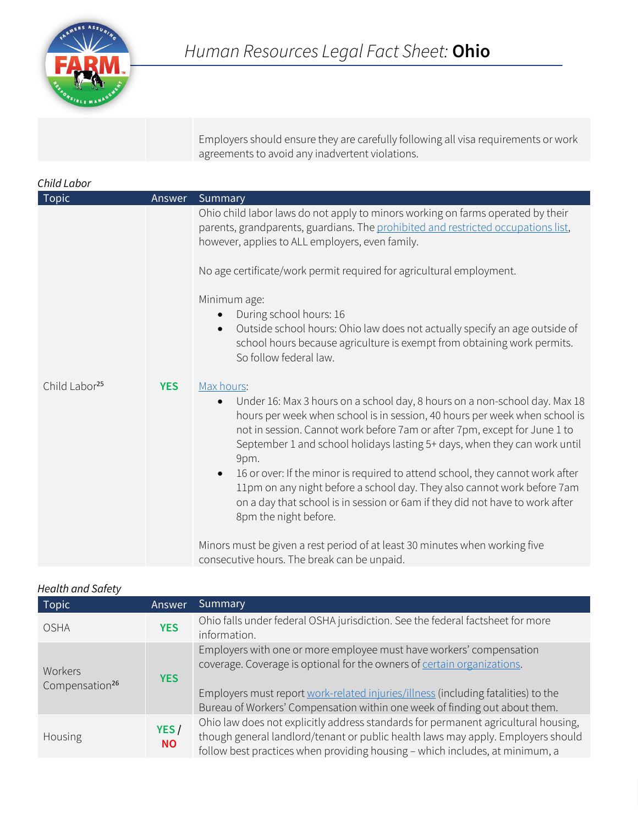

Employers should ensure they are carefully following all visa requirements or work agreements to avoid any inadvertent violations.

| Child Labor               |            |                                                                                                                                                                                                                                                                                                                                                                                                                                                                                                                                                                                                                                         |
|---------------------------|------------|-----------------------------------------------------------------------------------------------------------------------------------------------------------------------------------------------------------------------------------------------------------------------------------------------------------------------------------------------------------------------------------------------------------------------------------------------------------------------------------------------------------------------------------------------------------------------------------------------------------------------------------------|
| <b>Topic</b>              | Answer     | Summary                                                                                                                                                                                                                                                                                                                                                                                                                                                                                                                                                                                                                                 |
|                           |            | Ohio child labor laws do not apply to minors working on farms operated by their<br>parents, grandparents, guardians. The prohibited and restricted occupations list,<br>however, applies to ALL employers, even family.                                                                                                                                                                                                                                                                                                                                                                                                                 |
|                           |            | No age certificate/work permit required for agricultural employment.                                                                                                                                                                                                                                                                                                                                                                                                                                                                                                                                                                    |
|                           |            | Minimum age:<br>During school hours: 16<br>Outside school hours: Ohio law does not actually specify an age outside of<br>school hours because agriculture is exempt from obtaining work permits.<br>So follow federal law.                                                                                                                                                                                                                                                                                                                                                                                                              |
| Child Labor <sup>25</sup> | <b>YES</b> | Max hours:<br>Under 16: Max 3 hours on a school day, 8 hours on a non-school day. Max 18<br>$\bullet$<br>hours per week when school is in session, 40 hours per week when school is<br>not in session. Cannot work before 7am or after 7pm, except for June 1 to<br>September 1 and school holidays lasting 5+ days, when they can work until<br>9pm.<br>16 or over: If the minor is required to attend school, they cannot work after<br>$\bullet$<br>11pm on any night before a school day. They also cannot work before 7am<br>on a day that school is in session or 6am if they did not have to work after<br>8pm the night before. |
|                           |            | Minors must be given a rest period of at least 30 minutes when working five<br>consecutive hours. The break can be unpaid.                                                                                                                                                                                                                                                                                                                                                                                                                                                                                                              |

| <b>Topic</b>                          | Answer             | Summary                                                                                                                                                                                                                                                                                                           |
|---------------------------------------|--------------------|-------------------------------------------------------------------------------------------------------------------------------------------------------------------------------------------------------------------------------------------------------------------------------------------------------------------|
| <b>OSHA</b>                           | <b>YES</b>         | Ohio falls under federal OSHA jurisdiction. See the federal factsheet for more<br>information.                                                                                                                                                                                                                    |
| Workers<br>Compensation <sup>26</sup> | <b>YES</b>         | Employers with one or more employee must have workers' compensation<br>coverage. Coverage is optional for the owners of certain organizations.<br>Employers must report work-related injuries/illness (including fatalities) to the<br>Bureau of Workers' Compensation within one week of finding out about them. |
| Housing                               | YES /<br><b>NO</b> | Ohio law does not explicitly address standards for permanent agricultural housing,<br>though general landlord/tenant or public health laws may apply. Employers should<br>follow best practices when providing housing - which includes, at minimum, a                                                            |

#### *Health and Safety*